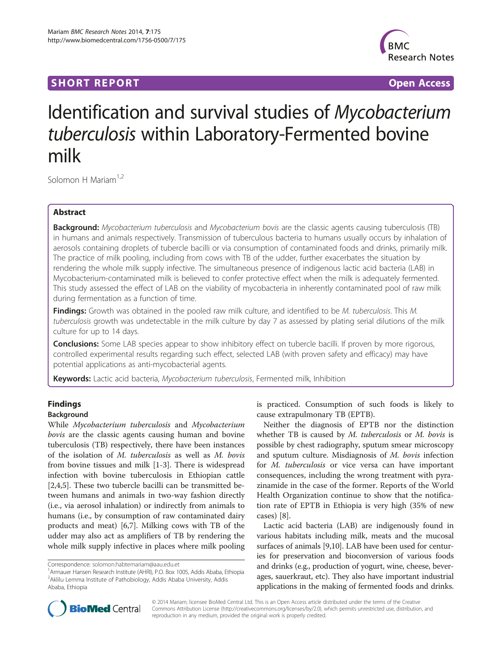# **SHORT REPORT SHORT CONSUMING THE CONSUMING THE CONSUMING THE CONSUMING THE CONSUMING THE CONSUMING THE CONSUMING THE CONSUMING THE CONSUMING THE CONSUMING THE CONSUMING THE CONSUMING THE CONSUMING THE CONSUMING THE CO**



# Identification and survival studies of Mycobacterium tuberculosis within Laboratory-Fermented bovine milk

Solomon H Mariam $1,2$ 

## Abstract

Background: Mycobacterium tuberculosis and Mycobacterium bovis are the classic agents causing tuberculosis (TB) in humans and animals respectively. Transmission of tuberculous bacteria to humans usually occurs by inhalation of aerosols containing droplets of tubercle bacilli or via consumption of contaminated foods and drinks, primarily milk. The practice of milk pooling, including from cows with TB of the udder, further exacerbates the situation by rendering the whole milk supply infective. The simultaneous presence of indigenous lactic acid bacteria (LAB) in Mycobacterium-contaminated milk is believed to confer protective effect when the milk is adequately fermented. This study assessed the effect of LAB on the viability of mycobacteria in inherently contaminated pool of raw milk during fermentation as a function of time.

Findings: Growth was obtained in the pooled raw milk culture, and identified to be M. tuberculosis. This M. tuberculosis growth was undetectable in the milk culture by day 7 as assessed by plating serial dilutions of the milk culture for up to 14 days.

**Conclusions:** Some LAB species appear to show inhibitory effect on tubercle bacilli. If proven by more rigorous, controlled experimental results regarding such effect, selected LAB (with proven safety and efficacy) may have potential applications as anti-mycobacterial agents.

Keywords: Lactic acid bacteria, Mycobacterium tuberculosis, Fermented milk, Inhibition

## Findings

## Background

While Mycobacterium tuberculosis and Mycobacterium bovis are the classic agents causing human and bovine tuberculosis (TB) respectively, there have been instances of the isolation of M. tuberculosis as well as M. bovis from bovine tissues and milk [[1-3](#page-3-0)]. There is widespread infection with bovine tuberculosis in Ethiopian cattle [[2,4,5\]](#page-3-0). These two tubercle bacilli can be transmitted between humans and animals in two-way fashion directly (i.e., via aerosol inhalation) or indirectly from animals to humans (i.e., by consumption of raw contaminated dairy products and meat) [\[6,7](#page-3-0)]. Milking cows with TB of the udder may also act as amplifiers of TB by rendering the whole milk supply infective in places where milk pooling

is practiced. Consumption of such foods is likely to cause extrapulmonary TB (EPTB).

Neither the diagnosis of EPTB nor the distinction whether TB is caused by M. tuberculosis or M. bovis is possible by chest radiography, sputum smear microscopy and sputum culture. Misdiagnosis of M. bovis infection for M. tuberculosis or vice versa can have important consequences, including the wrong treatment with pyrazinamide in the case of the former. Reports of the World Health Organization continue to show that the notification rate of EPTB in Ethiopia is very high (35% of new cases) [[8\]](#page-3-0).

Lactic acid bacteria (LAB) are indigenously found in various habitats including milk, meats and the mucosal surfaces of animals [\[9,10\]](#page-3-0). LAB have been used for centuries for preservation and bioconversion of various foods and drinks (e.g., production of yogurt, wine, cheese, beverages, sauerkraut, etc). They also have important industrial applications in the making of fermented foods and drinks.



© 2014 Mariam; licensee BioMed Central Ltd. This is an Open Access article distributed under the terms of the Creative Commons Attribution License [\(http://creativecommons.org/licenses/by/2.0\)](http://creativecommons.org/licenses/by/2.0), which permits unrestricted use, distribution, and reproduction in any medium, provided the original work is properly credited.

Correspondence: [solomon.habtemariam@aau.edu.et](mailto:solomon.habtemariam@aau.edu.et) <sup>1</sup>

<sup>&</sup>lt;sup>1</sup> Armauer Hansen Research Institute (AHRI), P.O. Box 1005, Addis Ababa, Ethiopia 2 Aklilu Lemma Institute of Pathobiology, Addis Ababa University, Addis Ababa, Ethiopia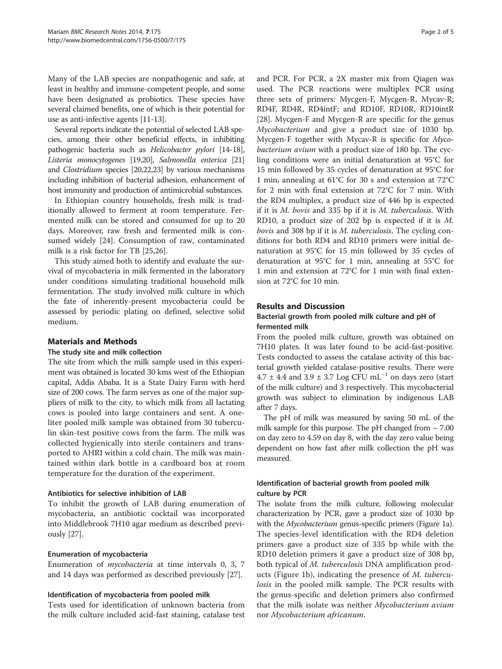Many of the LAB species are nonpathogenic and safe, at least in healthy and immune-competent people, and some have been designated as probiotics. These species have several claimed benefits, one of which is their potential for use as anti-infective agents [\[11-13](#page-3-0)].

Several reports indicate the potential of selected LAB species, among their other beneficial effects, in inhibiting pathogenic bacteria such as Helicobacter pylori [\[14-18](#page-3-0)], Listeria monocytogenes [\[19,20](#page-3-0)], Salmonella enterica [\[21](#page-3-0)] and Clostridium species [[20,22,23\]](#page-3-0) by various mechanisms including inhibition of bacterial adhesion, enhancement of host immunity and production of antimicrobial substances.

In Ethiopian country households, fresh milk is traditionally allowed to ferment at room temperature. Fermented milk can be stored and consumed for up to 20 days. Moreover, raw fresh and fermented milk is consumed widely [\[24](#page-3-0)]. Consumption of raw, contaminated milk is a risk factor for TB [[25,26\]](#page-3-0).

This study aimed both to identify and evaluate the survival of mycobacteria in milk fermented in the laboratory under conditions simulating traditional household milk fermentation. The study involved milk culture in which the fate of inherently-present mycobacteria could be assessed by periodic plating on defined, selective solid medium.

## Materials and Methods

## The study site and milk collection

The site from which the milk sample used in this experiment was obtained is located 30 kms west of the Ethiopian capital, Addis Ababa. It is a State Dairy Farm with herd size of 200 cows. The farm serves as one of the major suppliers of milk to the city, to which milk from all lactating cows is pooled into large containers and sent. A oneliter pooled milk sample was obtained from 30 tuberculin skin-test positive cows from the farm. The milk was collected hygienically into sterile containers and transported to AHRI within a cold chain. The milk was maintained within dark bottle in a cardboard box at room temperature for the duration of the experiment.

## Antibiotics for selective inhibition of LAB

To inhibit the growth of LAB during enumeration of mycobacteria, an antibiotic cocktail was incorporated into Middlebrook 7H10 agar medium as described previously [[27\]](#page-4-0).

## Enumeration of mycobacteria

Enumeration of mycobacteria at time intervals 0, 3, 7 and 14 days was performed as described previously [[27](#page-4-0)].

#### Identification of mycobacteria from pooled milk

Tests used for identification of unknown bacteria from the milk culture included acid-fast staining, catalase test

and PCR. For PCR, a 2X master mix from Qiagen was used. The PCR reactions were multiplex PCR using three sets of primers: Mycgen-F, Mycgen-R, Mycav-R; RD4F, RD4R, RD4intF; and RD10F, RD10R, RD10intR [[28\]](#page-4-0). Mycgen-F and Mycgen-R are specific for the genus Mycobacterium and give a product size of 1030 bp. Mycgen-F together with Mycav-R is specific for Mycobacterium avium with a product size of 180 bp. The cycling conditions were an initial denaturation at 95°C for 15 min followed by 35 cycles of denaturation at 95°C for 1 min, annealing at 61°C for 30 s and extension at 72°C for 2 min with final extension at 72°C for 7 min. With the RD4 multiplex, a product size of 446 bp is expected if it is M. bovis and 335 bp if it is M. tuberculosis. With RD10, a product size of 202 bp is expected if it is M. bovis and 308 bp if it is M. tuberculosis. The cycling conditions for both RD4 and RD10 primers were initial denaturation at 95°C for 15 min followed by 35 cycles of denaturation at 95°C for 1 min, annealing at 55°C for 1 min and extension at 72°C for 1 min with final extension at 72°C for 10 min.

## Results and Discussion

## Bacterial growth from pooled milk culture and pH of fermented milk

From the pooled milk culture, growth was obtained on 7H10 plates. It was later found to be acid-fast-positive. Tests conducted to assess the catalase activity of this bacterial growth yielded catalase-positive results. There were  $4.7 \pm 4.4$  and  $3.9 \pm 3.7$  Log CFU mL<sup>-1</sup> on days zero (start of the milk culture) and 3 respectively. This mycobacterial growth was subject to elimination by indigenous LAB after 7 days.

The pH of milk was measured by saving 50 mL of the milk sample for this purpose. The pH changed from  $\sim$  7.00 on day zero to 4.59 on day 8, with the day zero value being dependent on how fast after milk collection the pH was measured.

## Identification of bacterial growth from pooled milk culture by PCR

The isolate from the milk culture, following molecular characterization by PCR, gave a product size of 1030 bp with the *Mycobacterium* genus-specific primers (Figure [1](#page-2-0)a). The species-level identification with the RD4 deletion primers gave a product size of 335 bp while with the RD10 deletion primers it gave a product size of 308 bp, both typical of M. tuberculosis DNA amplification products (Figure [1b](#page-2-0)), indicating the presence of M. tuberculosis in the pooled milk sample. The PCR results with the genus-specific and deletion primers also confirmed that the milk isolate was neither Mycobacterium avium nor Mycobacterium africanum.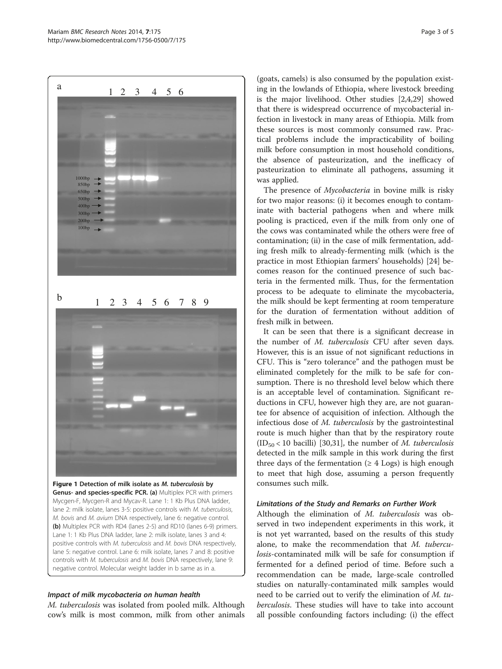<span id="page-2-0"></span>

Genus- and species-specific PCR. (a) Multiplex PCR with primers Mycgen-F, Mycgen-R and Mycav-R. Lane 1: 1 Kb Plus DNA ladder, lane 2: milk isolate, lanes 3-5: positive controls with M. tuberculosis, M. bovis and M. avium DNA respectively, lane 6: negative control. (b) Multiplex PCR with RD4 (lanes 2-5) and RD10 (lanes 6-9) primers. Lane 1: 1 Kb Plus DNA ladder, lane 2: milk isolate, lanes 3 and 4: positive controls with M. tuberculosis and M. bovis DNA respectively, lane 5: negative control. Lane 6: milk isolate, lanes 7 and 8: positive controls with M. tuberculosis and M. bovis DNA respectively, lane 9: negative control. Molecular weight ladder in b same as in a.

## Impact of milk mycobacteria on human health

M. tuberculosis was isolated from pooled milk. Although cow's milk is most common, milk from other animals

(goats, camels) is also consumed by the population existing in the lowlands of Ethiopia, where livestock breeding is the major livelihood. Other studies [[2,4,](#page-3-0)[29\]](#page-4-0) showed that there is widespread occurrence of mycobacterial infection in livestock in many areas of Ethiopia. Milk from these sources is most commonly consumed raw. Practical problems include the impracticability of boiling milk before consumption in most household conditions, the absence of pasteurization, and the inefficacy of pasteurization to eliminate all pathogens, assuming it was applied.

The presence of Mycobacteria in bovine milk is risky for two major reasons: (i) it becomes enough to contaminate with bacterial pathogens when and where milk pooling is practiced, even if the milk from only one of the cows was contaminated while the others were free of contamination; (ii) in the case of milk fermentation, adding fresh milk to already-fermenting milk (which is the practice in most Ethiopian farmers' households) [\[24](#page-3-0)] becomes reason for the continued presence of such bacteria in the fermented milk. Thus, for the fermentation process to be adequate to eliminate the mycobacteria, the milk should be kept fermenting at room temperature for the duration of fermentation without addition of fresh milk in between.

It can be seen that there is a significant decrease in the number of M. tuberculosis CFU after seven days. However, this is an issue of not significant reductions in CFU. This is "zero tolerance" and the pathogen must be eliminated completely for the milk to be safe for consumption. There is no threshold level below which there is an acceptable level of contamination. Significant reductions in CFU, however high they are, are not guarantee for absence of acquisition of infection. Although the infectious dose of M. tuberculosis by the gastrointestinal route is much higher than that by the respiratory route  $(ID<sub>50</sub> < 10$  bacilli) [\[30,31\]](#page-4-0), the number of *M. tuberculosis* detected in the milk sample in this work during the first three days of the fermentation ( $\geq 4$  Logs) is high enough to meet that high dose, assuming a person frequently consumes such milk.

#### Limitations of the Study and Remarks on Further Work

Although the elimination of M. tuberculosis was observed in two independent experiments in this work, it is not yet warranted, based on the results of this study alone, to make the recommendation that M. tuberculosis-contaminated milk will be safe for consumption if fermented for a defined period of time. Before such a recommendation can be made, large-scale controlled studies on naturally-contaminated milk samples would need to be carried out to verify the elimination of M. tuberculosis. These studies will have to take into account all possible confounding factors including: (i) the effect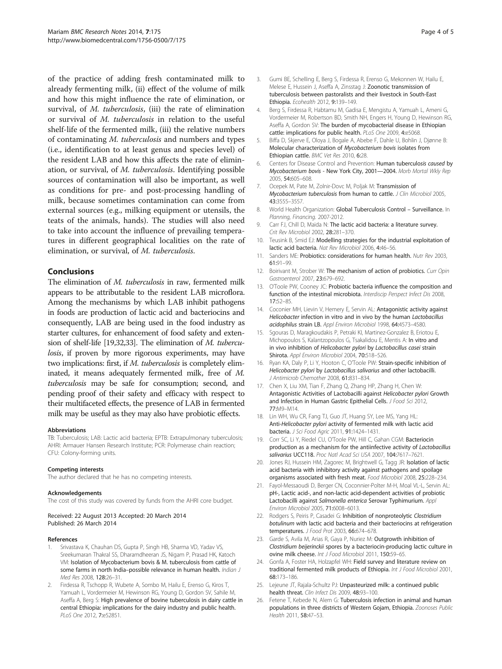<span id="page-3-0"></span>of the practice of adding fresh contaminated milk to already fermenting milk, (ii) effect of the volume of milk and how this might influence the rate of elimination, or survival, of *M. tuberculosis*, (iii) the rate of elimination or survival of M. tuberculosis in relation to the useful shelf-life of the fermented milk, (iii) the relative numbers of contaminating M. tuberculosis and numbers and types (i.e., identification to at least genus and species level) of the resident LAB and how this affects the rate of elimination, or survival, of M. tuberculosis. Identifying possible sources of contamination will also be important, as well as conditions for pre- and post-processing handling of milk, because sometimes contamination can come from external sources (e.g., milking equipment or utensils, the teats of the animals, hands). The studies will also need to take into account the influence of prevailing temperatures in different geographical localities on the rate of elimination, or survival, of M. tuberculosis.

## Conclusions

The elimination of M. tuberculosis in raw, fermented milk appears to be attributable to the resident LAB microflora. Among the mechanisms by which LAB inhibit pathogens in foods are production of lactic acid and bacteriocins and consequently, LAB are being used in the food industry as starter cultures, for enhancement of food safety and extension of shelf-life [19[,32,33](#page-4-0)]. The elimination of M. tuberculosis, if proven by more rigorous experiments, may have two implications: first, if M. tuberculosis is completely eliminated, it means adequately fermented milk, free of M. tuberculosis may be safe for consumption; second, and pending proof of their safety and efficacy with respect to their multifaceted effects, the presence of LAB in fermented milk may be useful as they may also have probiotic effects.

#### Abbreviations

TB: Tuberculosis; LAB: Lactic acid bacteria; EPTB: Extrapulmonary tuberculosis; AHRI: Armauer Hansen Research Institute; PCR: Polymerase chain reaction; CFU: Colony-forming units.

#### Competing interests

The author declared that he has no competing interests.

#### Acknowledgements

The cost of this study was covered by funds from the AHRI core budget.

#### Received: 22 August 2013 Accepted: 20 March 2014 Published: 26 March 2014

#### References

- 1. Srivastava K, Chauhan DS, Gupta P, Singh HB, Sharma VD, Yadav VS, Sreekumaran Thakral SS, Dharamdheeran JS, Nigam P, Prasad HK, Katoch VM: Isolation of Mycobacterium bovis & M. tuberculosis from cattle of some farms in north India-possible relevance in human health. Indian J Med Res 2008, 128:26–31.
- 2. Firdessa R, Tschopp R, Wubete A, Sombo M, Hailu E, Erenso G, Kiros T, Yamuah L, Vordermeier M, Hewinson RG, Young D, Gordon SV, Sahile M, Aseffa A, Berg S: High prevalence of bovine tuberculosis in dairy cattle in central Ethiopia: implications for the dairy industry and public health. PLoS One 2012, 7:e52851.
- 3. Gumi BE, Schelling E, Berg S, Firdessa R, Erenso G, Mekonnen W, Hailu E, Melese E, Hussein J, Aseffa A, Zinsstag J: Zoonotic transmission of tuberculosis between pastoralists and their livestock in South-East Ethiopia. Ecohealth 2012, 9:139–149.
- 4. Berg S, Firdessa R, Habtamu M, Gadisa E, Mengistu A, Yamuah L, Ameni G, Vordermeier M, Robertson BD, Smith NH, Engers H, Young D, Hewinson RG, Aseffa A, Gordon SV: The burden of mycobacterial disease in Ethiopian cattle: implications for public health. PLoS One 2009, 4:e5068.
- 5. Biffa D, Skjerve E, Oloya J, Bogale A, Abebe F, Dahle U, Bohlin J, Djønne B: Molecular characterization of Mycobacterium bovis isolates from Ethiopian cattle. BMC Vet Res 2010, 6:28.
- 6. Centers for Disease Control and Prevention: Human tuberculosis caused by Mycobacterium bovis - New York City, 2001—2004. Morb Mortal Wkly Rep 2005, 54:605–608.
- 7. Ocepek M, Pate M, Zolnir-Dovc M, Poljak M: Transmission of Mycobacterium tuberculosis from human to cattle. J Clin Microbiol 2005. 43:3555–3557.
- 8. World Health Organization: Global Tuberculosis Control Surveillance. In Planning, Financing. 2007-2012.
- 9. Carr FJ, Chill D, Maida N: The lactic acid bacteria: a literature survey. Crit Rev Microbiol 2002, 28:281–370.
- 10. Teusink B, Smid EJ: Modelling strategies for the industrial exploitation of lactic acid bacteria. Nat Rev Microbiol 2006, 4:46–56.
- 11. Sanders ME: Probiotics: considerations for human health. Nutr Rev 2003, 61:91–99.
- 12. Boirivant M, Strober W: The mechanism of action of probiotics. Curr Opin Gastroenterol 2007, 23:679–692.
- 13. O'Toole PW, Cooney JC: Probiotic bacteria influence the composition and function of the intestinal microbiota. Interdiscip Perspect Infect Dis 2008, 17:52–85.
- 14. Coconier MH, Lievin V, Hemery E, Servin AL: Antagonistic activity against Helicobacter infection in vitro and in vivo by the human Lactobacillus acidophilus strain LB. Appl Environ Microbiol 1998, 64:4573–4580.
- 15. Sgouras D, Maragkoudakis P, Petraki KI, Martinez-Gonzalez B, Eriotou E, Michopoulos S, Kalantzopoulos G, Tsakalidou E, Mentis A: In vitro and in vivo inhibition of Helicobacter pylori by Lactobacillus casei strain Shirota. Appl Environ Microbiol 2004, 70:518-526.
- 16. Ryan KA, Daly P, Li Y, Hooton C, O'Toole PW: Strain-specific inhibition of Helicobacter pylori by Lactobacillus salivarius and other lactobacilli. J Antimicrob Chemother 2008, 61:831–834.
- 17. Chen X, Liu XM, Tian F, Zhang Q, Zhang HP, Zhang H, Chen W: Antagonistic Activities of Lactobacilli against Helicobacter pylori Growth and Infection in Human Gastric Epithelial Cells. J Food Sci 2012, 77:M9–M14.
- 18. Lin WH, Wu CR, Fang TJ, Guo JT, Huang SY, Lee MS, Yang HL: Anti-Helicobacter pylori activity of fermented milk with lactic acid bacteria. J Sci Food Agric 2011, 91:1424–1431.
- 19. Corr SC, Li Y, Riedel CU, O'Toole PW, Hill C, Gahan CGM: Bacteriocin production as a mechanism for the antiinfective activity of Lactobacillus salivarius UCC118. Proc Natl Acad Sci USA 2007, 104:7617-7621
- 20. Jones RJ, Hussein HM, Zagorec M, Brightwell G, Tagg JR: Isolation of lactic acid bacteria with inhibitory activity against pathogens and spoilage organisms associated with fresh meat. Food Microbiol 2008, 25:228–234.
- 21. Fayol-Messaoudi D, Berger CN, Coconnier-Polter M-H, Moal VL-L, Servin AL: pH-, Lactic acid-, and non-lactic acid-dependent activities of probiotic Lactobacilli against Salmonella enterica Serovar Typhimurium. Appl Environ Microbiol 2005, 71:6008–6013.
- 22. Rodgers S, Peiris P, Casadei G: Inhibition of nonproteolytic Clostridium botulinum with lactic acid bacteria and their bacteriocins at refrigeration temperatures. *J Food Prot 2003*, 66:674-678.
- 23. Garde S, Avila M, Arias R, Gaya P, Nuriez M: Outgrowth inhibition of Clostridium beijerinckii spores by a bacteriocin-producing lactic culture in ovine milk cheese. Int J Food Microbiol 2011, 150:59-65.
- 24. Gonfa A, Foster HA, Holzapfel WH: Field survey and literature review on traditional fermented milk products of Ethiopia. Int J Food Microbiol 2001, 68:173–186.
- 25. Lejeune JT, Rajala-Schultz PJ: Unpasteurized milk: a continued public health threat. Clin Infect Dis 2009, 48:93-100.
- 26. Fetene T, Kebede N, Alem G: Tuberculosis infection in animal and human populations in three districts of Western Gojam, Ethiopia. Zoonoses Public Health 2011, 58:47–53.